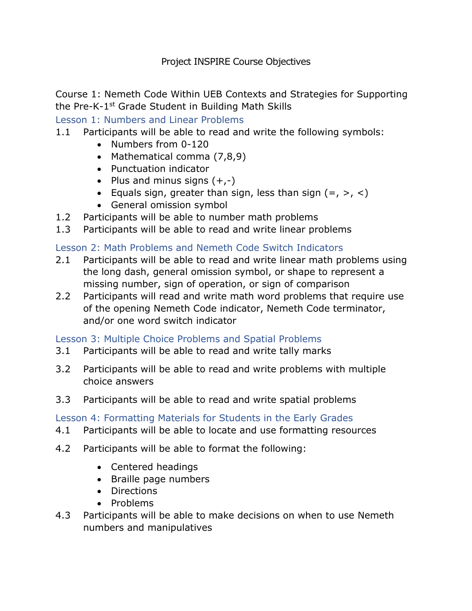Course 1: Nemeth Code Within UEB Contexts and Strategies for Supporting the Pre-K-1st Grade Student in Building Math Skills

Lesson 1: Numbers and Linear Problems

- 1.1 Participants will be able to read and write the following symbols:
	- Numbers from 0-120
	- Mathematical comma (7,8,9)
	- Punctuation indicator
	- Plus and minus signs  $(+,-)$
	- Equals sign, greater than sign, less than sign  $(=, >, <)$
	- General omission symbol
- 1.2 Participants will be able to number math problems
- 1.3 Participants will be able to read and write linear problems

### Lesson 2: Math Problems and Nemeth Code Switch Indicators

- 2.1 Participants will be able to read and write linear math problems using the long dash, general omission symbol, or shape to represent a missing number, sign of operation, or sign of comparison
- 2.2 Participants will read and write math word problems that require use of the opening Nemeth Code indicator, Nemeth Code terminator, and/or one word switch indicator

# Lesson 3: Multiple Choice Problems and Spatial Problems

- 3.1 Participants will be able to read and write tally marks
- 3.2 Participants will be able to read and write problems with multiple choice answers
- 3.3 Participants will be able to read and write spatial problems

#### Lesson 4: Formatting Materials for Students in the Early Grades

- 4.1 Participants will be able to locate and use formatting resources
- 4.2 Participants will be able to format the following:
	- Centered headings
	- Braille page numbers
	- Directions
	- Problems
- 4.3 Participants will be able to make decisions on when to use Nemeth numbers and manipulatives